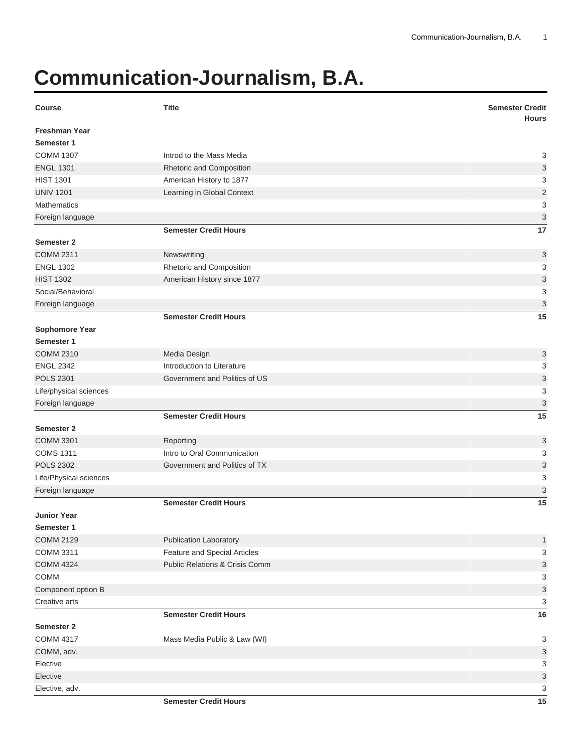## **Communication-Journalism, B.A.**

| <b>Hours</b><br><b>Freshman Year</b><br>Semester 1<br><b>COMM 1307</b><br>3<br>Introd to the Mass Media<br><b>ENGL 1301</b><br>3<br>Rhetoric and Composition<br>3<br><b>HIST 1301</b><br>American History to 1877<br>$\mathbf 2$<br><b>UNIV 1201</b><br>Learning in Global Context<br>3<br><b>Mathematics</b><br>$\mathsf 3$<br>Foreign language<br><b>Semester Credit Hours</b><br>17<br>Semester 2<br><b>COMM 2311</b><br>Newswriting<br>3<br><b>ENGL 1302</b><br>Rhetoric and Composition<br>3<br>$\ensuremath{\mathsf{3}}$<br><b>HIST 1302</b><br>American History since 1877<br>Social/Behavioral<br>3<br>$\mathfrak{S}$<br>Foreign language<br>15<br><b>Semester Credit Hours</b><br><b>Sophomore Year</b><br>Semester 1<br><b>COMM 2310</b><br>Media Design<br>3<br><b>ENGL 2342</b><br>3<br>Introduction to Literature<br><b>POLS 2301</b><br>3<br>Government and Politics of US<br>3<br>Life/physical sciences<br>3<br>Foreign language<br>15<br><b>Semester Credit Hours</b><br>Semester 2<br>3<br><b>COMM 3301</b><br>Reporting<br>Intro to Oral Communication<br><b>COMS 1311</b> |
|-----------------------------------------------------------------------------------------------------------------------------------------------------------------------------------------------------------------------------------------------------------------------------------------------------------------------------------------------------------------------------------------------------------------------------------------------------------------------------------------------------------------------------------------------------------------------------------------------------------------------------------------------------------------------------------------------------------------------------------------------------------------------------------------------------------------------------------------------------------------------------------------------------------------------------------------------------------------------------------------------------------------------------------------------------------------------------------------------|
|                                                                                                                                                                                                                                                                                                                                                                                                                                                                                                                                                                                                                                                                                                                                                                                                                                                                                                                                                                                                                                                                                               |
|                                                                                                                                                                                                                                                                                                                                                                                                                                                                                                                                                                                                                                                                                                                                                                                                                                                                                                                                                                                                                                                                                               |
|                                                                                                                                                                                                                                                                                                                                                                                                                                                                                                                                                                                                                                                                                                                                                                                                                                                                                                                                                                                                                                                                                               |
|                                                                                                                                                                                                                                                                                                                                                                                                                                                                                                                                                                                                                                                                                                                                                                                                                                                                                                                                                                                                                                                                                               |
|                                                                                                                                                                                                                                                                                                                                                                                                                                                                                                                                                                                                                                                                                                                                                                                                                                                                                                                                                                                                                                                                                               |
|                                                                                                                                                                                                                                                                                                                                                                                                                                                                                                                                                                                                                                                                                                                                                                                                                                                                                                                                                                                                                                                                                               |
|                                                                                                                                                                                                                                                                                                                                                                                                                                                                                                                                                                                                                                                                                                                                                                                                                                                                                                                                                                                                                                                                                               |
|                                                                                                                                                                                                                                                                                                                                                                                                                                                                                                                                                                                                                                                                                                                                                                                                                                                                                                                                                                                                                                                                                               |
|                                                                                                                                                                                                                                                                                                                                                                                                                                                                                                                                                                                                                                                                                                                                                                                                                                                                                                                                                                                                                                                                                               |
|                                                                                                                                                                                                                                                                                                                                                                                                                                                                                                                                                                                                                                                                                                                                                                                                                                                                                                                                                                                                                                                                                               |
|                                                                                                                                                                                                                                                                                                                                                                                                                                                                                                                                                                                                                                                                                                                                                                                                                                                                                                                                                                                                                                                                                               |
|                                                                                                                                                                                                                                                                                                                                                                                                                                                                                                                                                                                                                                                                                                                                                                                                                                                                                                                                                                                                                                                                                               |
|                                                                                                                                                                                                                                                                                                                                                                                                                                                                                                                                                                                                                                                                                                                                                                                                                                                                                                                                                                                                                                                                                               |
|                                                                                                                                                                                                                                                                                                                                                                                                                                                                                                                                                                                                                                                                                                                                                                                                                                                                                                                                                                                                                                                                                               |
|                                                                                                                                                                                                                                                                                                                                                                                                                                                                                                                                                                                                                                                                                                                                                                                                                                                                                                                                                                                                                                                                                               |
|                                                                                                                                                                                                                                                                                                                                                                                                                                                                                                                                                                                                                                                                                                                                                                                                                                                                                                                                                                                                                                                                                               |
|                                                                                                                                                                                                                                                                                                                                                                                                                                                                                                                                                                                                                                                                                                                                                                                                                                                                                                                                                                                                                                                                                               |
|                                                                                                                                                                                                                                                                                                                                                                                                                                                                                                                                                                                                                                                                                                                                                                                                                                                                                                                                                                                                                                                                                               |
|                                                                                                                                                                                                                                                                                                                                                                                                                                                                                                                                                                                                                                                                                                                                                                                                                                                                                                                                                                                                                                                                                               |
|                                                                                                                                                                                                                                                                                                                                                                                                                                                                                                                                                                                                                                                                                                                                                                                                                                                                                                                                                                                                                                                                                               |
|                                                                                                                                                                                                                                                                                                                                                                                                                                                                                                                                                                                                                                                                                                                                                                                                                                                                                                                                                                                                                                                                                               |
|                                                                                                                                                                                                                                                                                                                                                                                                                                                                                                                                                                                                                                                                                                                                                                                                                                                                                                                                                                                                                                                                                               |
|                                                                                                                                                                                                                                                                                                                                                                                                                                                                                                                                                                                                                                                                                                                                                                                                                                                                                                                                                                                                                                                                                               |
|                                                                                                                                                                                                                                                                                                                                                                                                                                                                                                                                                                                                                                                                                                                                                                                                                                                                                                                                                                                                                                                                                               |
|                                                                                                                                                                                                                                                                                                                                                                                                                                                                                                                                                                                                                                                                                                                                                                                                                                                                                                                                                                                                                                                                                               |
|                                                                                                                                                                                                                                                                                                                                                                                                                                                                                                                                                                                                                                                                                                                                                                                                                                                                                                                                                                                                                                                                                               |
| 3                                                                                                                                                                                                                                                                                                                                                                                                                                                                                                                                                                                                                                                                                                                                                                                                                                                                                                                                                                                                                                                                                             |
| <b>POLS 2302</b><br>Government and Politics of TX<br>3                                                                                                                                                                                                                                                                                                                                                                                                                                                                                                                                                                                                                                                                                                                                                                                                                                                                                                                                                                                                                                        |
| 3<br>Life/Physical sciences                                                                                                                                                                                                                                                                                                                                                                                                                                                                                                                                                                                                                                                                                                                                                                                                                                                                                                                                                                                                                                                                   |
| 3<br>Foreign language                                                                                                                                                                                                                                                                                                                                                                                                                                                                                                                                                                                                                                                                                                                                                                                                                                                                                                                                                                                                                                                                         |
| 15<br><b>Semester Credit Hours</b>                                                                                                                                                                                                                                                                                                                                                                                                                                                                                                                                                                                                                                                                                                                                                                                                                                                                                                                                                                                                                                                            |
| <b>Junior Year</b>                                                                                                                                                                                                                                                                                                                                                                                                                                                                                                                                                                                                                                                                                                                                                                                                                                                                                                                                                                                                                                                                            |
| Semester 1                                                                                                                                                                                                                                                                                                                                                                                                                                                                                                                                                                                                                                                                                                                                                                                                                                                                                                                                                                                                                                                                                    |
| <b>COMM 2129</b><br><b>Publication Laboratory</b><br>$\mathbf{1}$                                                                                                                                                                                                                                                                                                                                                                                                                                                                                                                                                                                                                                                                                                                                                                                                                                                                                                                                                                                                                             |
| COMM 3311<br>Feature and Special Articles<br>3                                                                                                                                                                                                                                                                                                                                                                                                                                                                                                                                                                                                                                                                                                                                                                                                                                                                                                                                                                                                                                                |
| Public Relations & Crisis Comm<br><b>COMM 4324</b><br>3                                                                                                                                                                                                                                                                                                                                                                                                                                                                                                                                                                                                                                                                                                                                                                                                                                                                                                                                                                                                                                       |
| COMM<br>3                                                                                                                                                                                                                                                                                                                                                                                                                                                                                                                                                                                                                                                                                                                                                                                                                                                                                                                                                                                                                                                                                     |
| Component option B<br>3                                                                                                                                                                                                                                                                                                                                                                                                                                                                                                                                                                                                                                                                                                                                                                                                                                                                                                                                                                                                                                                                       |
| Creative arts<br>$\sqrt{3}$                                                                                                                                                                                                                                                                                                                                                                                                                                                                                                                                                                                                                                                                                                                                                                                                                                                                                                                                                                                                                                                                   |
| 16<br><b>Semester Credit Hours</b>                                                                                                                                                                                                                                                                                                                                                                                                                                                                                                                                                                                                                                                                                                                                                                                                                                                                                                                                                                                                                                                            |
| Semester 2                                                                                                                                                                                                                                                                                                                                                                                                                                                                                                                                                                                                                                                                                                                                                                                                                                                                                                                                                                                                                                                                                    |
| <b>COMM 4317</b><br>Mass Media Public & Law (WI)<br>3                                                                                                                                                                                                                                                                                                                                                                                                                                                                                                                                                                                                                                                                                                                                                                                                                                                                                                                                                                                                                                         |
| $\mathsf 3$<br>COMM, adv.                                                                                                                                                                                                                                                                                                                                                                                                                                                                                                                                                                                                                                                                                                                                                                                                                                                                                                                                                                                                                                                                     |
| Elective<br>$\sqrt{3}$<br>Elective                                                                                                                                                                                                                                                                                                                                                                                                                                                                                                                                                                                                                                                                                                                                                                                                                                                                                                                                                                                                                                                            |
| 3                                                                                                                                                                                                                                                                                                                                                                                                                                                                                                                                                                                                                                                                                                                                                                                                                                                                                                                                                                                                                                                                                             |
| 3<br>Elective, adv.<br><b>Semester Credit Hours</b><br>15                                                                                                                                                                                                                                                                                                                                                                                                                                                                                                                                                                                                                                                                                                                                                                                                                                                                                                                                                                                                                                     |